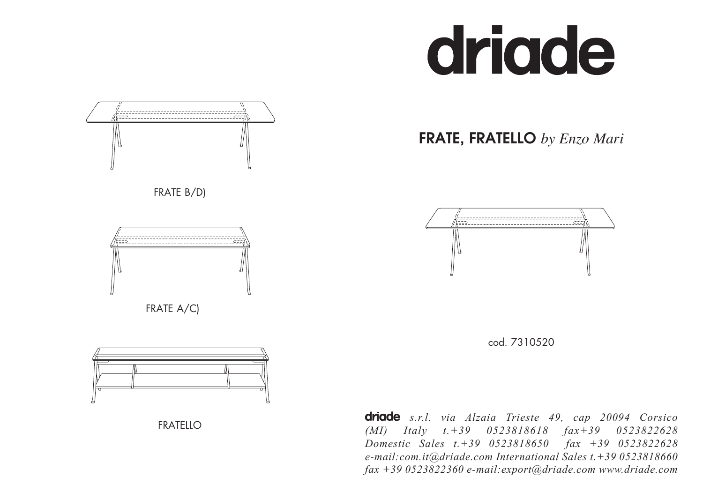# driade







FRATELLO *s.r.l. via Alzaia Trieste 49, cap 20094 Corsico (MI) Italy t.+39 0523818618 fax+39 0523822628 Domestic Sales t.+39 0523818650 fax +39 0523822628 e-mail:com.it@driade.com International Sales t.+39 0523818660 fax +39 0523822360 e-mail:export@driade.com www.driade.com*